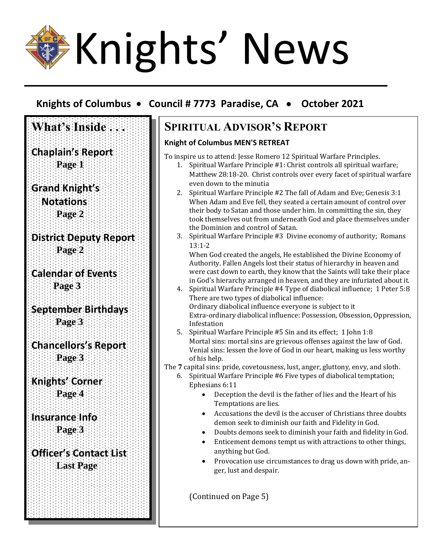# Knights' News

**What's Inside ...** 

**Chaplain's Report Page 1**

**District Deputy Report**

**Page 2**

 **Page 3**

 **Page 3**

**Page 3**

**Knights' Corner Page 4**

**Insurance Info Page 3**

**Calendar of Events**

**September Birthdays**

**Chancellors's Report**

**Officer's Contact List Last Page**

**Grand Knight's Notations Page 2**

# **Knights of Columbus** • **Council # 7773 Paradise, CA** • **October 2021**

## **SPIRITUAL ADVISOR'S REPORT**

### **Knight of Columbus MEN'S RETREAT**

To inspire us to attend: Jesse Romero 12 Spiritual Warfare Principles.

- 1. Spiritual Warfare Principle #1: Christ controls all spiritual warfare; Matthew 28:18-20. Christ controls over every facet of spiritual warfare even down to the minutia
- 2. Spiritual Warfare Principle #2 The fall of Adam and Eve; Genesis 3:1 When Adam and Eve fell, they seated a certain amount of control over their body to Satan and those under him. In committing the sin, they took themselves out from underneath God and place themselves under the Dominion and control of Satan.
- 3. Spiritual Warfare Principle #3 Divine economy of authority; Romans 13:1-2

When God created the angels, He established the Divine Economy of Authority. Fallen Angels lost their status of hierarchy in heaven and were cast down to earth, they know that the Saints will take their place in God's hierarchy arranged in heaven, and they are infuriated about it.

- 4. Spiritual Warfare Principle #4 Type of diabolical influence; 1 Peter 5:8 There are two types of diabolical influence: Ordinary diabolical influence everyone is subject to it Extra-ordinary diabolical influence: Possession, Obsession, Oppression, Infestation
- 5. Spiritual Warfare Principle #5 Sin and its effect; 1 John 1:8 Mortal sins: mortal sins are grievous offenses against the law of God. Venial sins: lessen the love of God in our heart, making us less worthy of his help.

The **7** capital sins: pride, covetousness, lust, anger, gluttony, envy, and sloth.

- 6. Spiritual Warfare Principle #6 Five types of diabolical temptation; Ephesians 6:11
	- Deception the devil is the father of lies and the Heart of his Temptations are lies.
	- Accusations the devil is the accuser of Christians three doubts demon seek to diminish our faith and Fidelity in God.
	- Doubts demons seek to diminish your faith and fidelity in God.
	- Enticement demons tempt us with attractions to other things, anything but God.
	- Provocation use circumstances to drag us down with pride, anger, lust and despair.

(Continued on Page 5)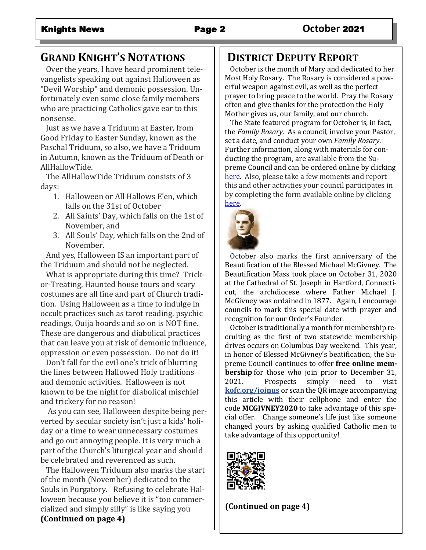# **GRAND KNIGHT'S NOTATIONS**

 Over the years, I have heard prominent televangelists speaking out against Halloween as "Devil Worship" and demonic possession. Unfortunately even some close family members who are practicing Catholics gave ear to this nonsense.

 Just as we have a Triduum at Easter, from Good Friday to Easter Sunday, known as the Paschal Triduum, so also, we have a Triduum in Autumn, known as the Triduum of Death or AllHallowTide.

 The AllHallowTide Triduum consists of 3 days:

- 1. Halloween or All Hallows E'en, which falls on the 31st of October
- 2. All Saints' Day, which falls on the 1st of November, and
- 3. All Souls' Day, which falls on the 2nd of November.

 And yes, Halloween IS an important part of the Triduum and should not be neglected.

 What is appropriate during this time? Trickor-Treating, Haunted house tours and scary costumes are all fine and part of Church tradition. Using Halloween as a time to indulge in occult practices such as tarot reading, psychic readings, Ouija boards and so on is NOT fine. These are dangerous and diabolical practices that can leave you at risk of demonic influence, oppression or even possession. Do not do it!

 Don't fall for the evil one's trick of blurring the lines between Hallowed Holy traditions and demonic activities. Halloween is not known to be the night for diabolical mischief and trickery for no reason!

 As you can see, Halloween despite being perverted by secular society isn't just a kids' holiday or a time to wear unnecessary costumes and go out annoying people. It is very much a part of the Church's liturgical year and should be celebrated and reverenced as such.

 The Halloween Triduum also marks the start of the month (November) dedicated to the Souls in Purgatory. Refusing to celebrate Halloween because you believe it is "too commercialized and simply silly" is like saying you **(Continued on page 4)**

# **DISTRICT DEPUTY REPORT**

 October is the month of Mary and dedicated to her Most Holy Rosary. The Rosary is considered a powerful weapon against evil, as well as the perfect prayer to bring peace to the world. Pray the Rosary often and give thanks for the protection the Holy Mother gives us, our family, and our church.

 The State featured program for October is, in fact, the *Family Rosary.* As a council, involve your Pastor, set a date, and conduct your own *Family Rosary*. Further information, along with materials for conducting the program, are available from the Supreme Council and can be ordered online by clicking [here.](https://www.kofc.org/uns/en/resources/service/church/5th-sunday-rosary-program-kit.pdf) Also, please take a few moments and report this and other activities your council participates in by completing the form available online by clicking [here.](https://www.kofc.org/en/forms/spa/invite.html?lang=en&form=10784C.019)



 October also marks the first anniversary of the Beautification of the Blessed Michael McGivney. The Beautification Mass took place on October 31, 2020 at the Cathedral of St. Joseph in Hartford, Connecticut, the archdiocese where Father Michael J. McGivney was ordained in 1877. Again, I encourage councils to mark this special date with prayer and recognition for our Order's Founder.

 October is traditionally a month for membership recruiting as the first of two statewide membership drives occurs on Columbus Day weekend. This year, in honor of Blessed McGivney's beatification, the Supreme Council continues to offer **free online membership** for those who join prior to December 31, 2021. Prospects simply need to visit **[kofc.org/joinus](http://r20.rs6.net/tn.jsp?f=001nD0zKfaUtQgAzvAWy3k4U73EPU3iwsyc6Gjr7Ii-dFS26WixahBSW45_58BpjrnGnzoapCiiytKhBvKc1hOqWSy8QpTLSN8pIWCuqH45C23s4fBYvuek4iLi11GvM35aV_r93gvsQCFF3GgTYh1hUQ==&c=cV1yz4SFD6qbPXtV8WT84FaKjRTzA3su8_6I5v_uK3Jd02X4JMEmyw==&ch=cPTvfRSKmF41yk9ccXDVTa2LvQtu1Hohc0XqdyI9_ggWM7-dAIStIA==)** or scan the QR image accompanying this article with their cellphone and enter the code **MCGIVNEY2020** to take advantage of this special offer. Change someone's life just like someone changed yours by asking qualified Catholic men to take advantage of this opportunity!



**(Continued on page 4)**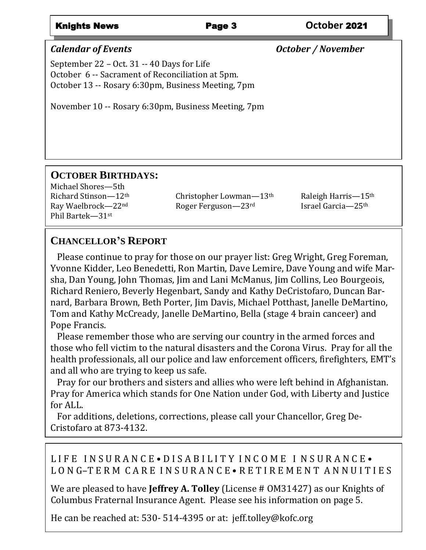### Knights News Page 3 **October** 2021

*Calendar of Events October / November*

September 22 – Oct. 31 -- 40 Days for Life October 6 -- Sacrament of Reconciliation at 5pm. October 13 -- Rosary 6:30pm, Business Meeting, 7pm

November 10 -- Rosary 6:30pm, Business Meeting, 7pm

### **OCTOBER BIRTHDAYS:**

Michael Shores—5th Phil Bartek—31st

Richard Stinson— $12<sup>th</sup>$  Christopher Lowman— $13<sup>th</sup>$  Raleigh Harris— $15<sup>th</sup>$ Ray Waelbrock—22<sup>nd</sup> Roger Ferguson—23<sup>rd</sup> Israel Garcia—25<sup>th</sup>

### **CHANCELLOR'S REPORT**

Dea Raymond F Helgeson

 Please continue to pray for those on our prayer list: Greg Wright, Greg Foreman, Yvonne Kidder, Leo Benedetti, Ron Martin, Dave Lemire, Dave Young and wife Marsha, Dan Young, John Thomas, Jim and Lani McManus, Jim Collins, Leo Bourgeois, Richard Reniero, Beverly Hegenbart, Sandy and Kathy DeCristofaro, Duncan Barnard, Barbara Brown, Beth Porter, Jim Davis, Michael Potthast, Janelle DeMartino, Tom and Kathy McCready, Janelle DeMartino, Bella (stage 4 brain canceer) and Pope Francis.

 Please remember those who are serving our country in the armed forces and those who fell victim to the natural disasters and the Corona Virus. Pray for all the health professionals, all our police and law enforcement officers, firefighters, EMT's and all who are trying to keep us safe.

for ALL. Pray for our brothers and sisters and allies who were left behind in Afghanistan. Pray for America which stands for One Nation under God, with Liberty and Justice

 $C$ ristofaro at 873-4132. For additions, deletions, corrections, please call your Chancellor, Greg De-

### L I F E I N S U R A N C E • D I S A B I L I T Y I N C O M E I N S U R A N C E • LONG-TERM CARE INSURANCE • RETIREMENT ANNUITIES

Columbus Fraternal Insurance Agent. Please see his information on page 5. We are pleased to have **Jeffrey A. Tolley** (License # 0M31427) as our Knights of

He can be reached at: 530- 514-4395 or at: jeff.tolley@kofc.org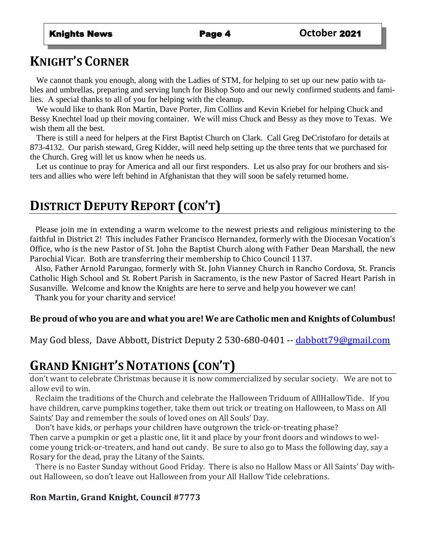# **KNIGHT'S CORNER**

We cannot thank you enough, along with the Ladies of STM, for helping to set up our new patio with tables and umbrellas, preparing and serving lunch for Bishop Soto and our newly confirmed students and families. A special thanks to all of you for helping with the cleanup.

 We would like to thank Ron Martin, Dave Porter, Jim Collins and Kevin Kriebel for helping Chuck and Bessy Knechtel load up their moving container. We will miss Chuck and Bessy as they move to Texas. We wish them all the best.

 There is still a need for helpers at the First Baptist Church on Clark. Call Greg DeCristofaro for details at 873-4132. Our parish steward, Greg Kidder, will need help setting up the three tents that we purchased for the Church. Greg will let us know when he needs us.

 Let us continue to pray for America and all our first responders. Let us also pray for our brothers and sisters and allies who were left behind in Afghanistan that they will soon be safely returned home.

# **DISTRICT DEPUTY REPORT (CON'T)**

 Please join me in extending a warm welcome to the newest priests and religious ministering to the faithful in District 2! This includes Father Francisco Hernandez, formerly with the Diocesan Vocation's Office, who is the new Pastor of St. John the Baptist Church along with Father Dean Marshall, the new Parochial Vicar. Both are transferring their membership to Chico Council 1137.

 Also, Father Arnold Parungao, formerly with St. John Vianney Church in Rancho Cordova, St. Francis Catholic High School and St. Robert Parish in Sacramento, is the new Pastor of Sacred Heart Parish in Susanville. Welcome and know the Knights are here to serve and help you however we can!

Thank you for your charity and service!

### **Be proud of who you are and what you are! We are Catholic men and Knights of Columbus!**

May God bless,Dave Abbott, District Deputy 2 530-680-0401 -- [dabbott79@gmail.com](mailto:dabbott79@gmail.com)

# **GRAND KNIGHT'S NOTATIONS (CON'T)**

don't want to celebrate Christmas because it is now commercialized by secular society. We are not to allow evil to win.

 Reclaim the traditions of the Church and celebrate the Halloween Triduum of AllHallowTide. If you have children, carve pumpkins together, take them out trick or treating on Halloween, to Mass on All Saints' Day and remember the souls of loved ones on All Souls' Day.

 Don't have kids, or perhaps your children have outgrown the trick-or-treating phase? Then carve a pumpkin or get a plastic one, lit it and place by your front doors and windows to welcome young trick-or-treaters, and hand out candy. Be sure to also go to Mass the following day, say a Rosary for the dead, pray the Litany of the Saints.

 There is no Easter Sunday without Good Friday. There is also no Hallow Mass or All Saints' Day without Halloween, so don't leave out Halloween from your All Hallow Tide celebrations.

### **Ron Martin, Grand Knight, Council #7773**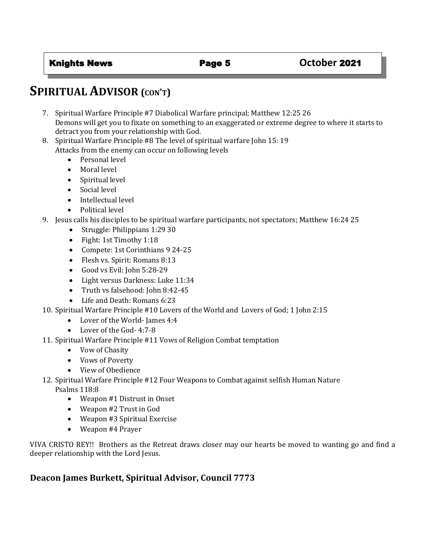# **SPIRITUAL ADVISOR (CON'T)**

- 7. Spiritual Warfare Principle #7 Diabolical Warfare principal; Matthew 12:25 26 Demons will get you to fixate on something to an exaggerated or extreme degree to where it starts to detract you from your relationship with God.
- 8. Spiritual Warfare Principle #8 The level of spiritual warfare John 15: 19 Attacks from the enemy can occur on following levels
	- Personal level
	- Moral level
	- Spiritual level
	- Social level
	- Intellectual level
	- Political level
- 9. Jesus calls his disciples to be spiritual warfare participants, not spectators; Matthew 16:24 25
	- Struggle: Philippians 1:29 30
	- Fight: 1st Timothy 1:18
	- Compete: 1st Corinthians 9 24-25
	- Flesh vs. Spirit: Romans 8:13
	- Good vs Evil: John 5:28-29
	- Light versus Darkness: Luke 11:34
	- Truth vs falsehood: John 8:42-45
	- Life and Death: Romans 6:23
- 10. Spiritual Warfare Principle #10 Lovers of the World and Lovers of God; 1 John 2:15
	- Lover of the World-James 4:4
	- Lover of the God- 4:7-8
- 11. Spiritual Warfare Principle #11 Vows of Religion Combat temptation
	- Vow of Chasity
	- Vows of Poverty
	- View of Obedience
- 12. Spiritual Warfare Principle #12 Four Weapons to Combat against selfish Human Nature Psalms 118:8
	- Weapon #1 Distrust in Onset
	- Weapon #2 Trust in God
	- Weapon #3 Spiritual Exercise
	- Weapon #4 Prayer

VIVA CRISTO REY!! Brothers as the Retreat draws closer may our hearts be moved to wanting go and find a deeper relationship with the Lord Jesus.

### **Deacon James Burkett, Spiritual Advisor, Council 7773**